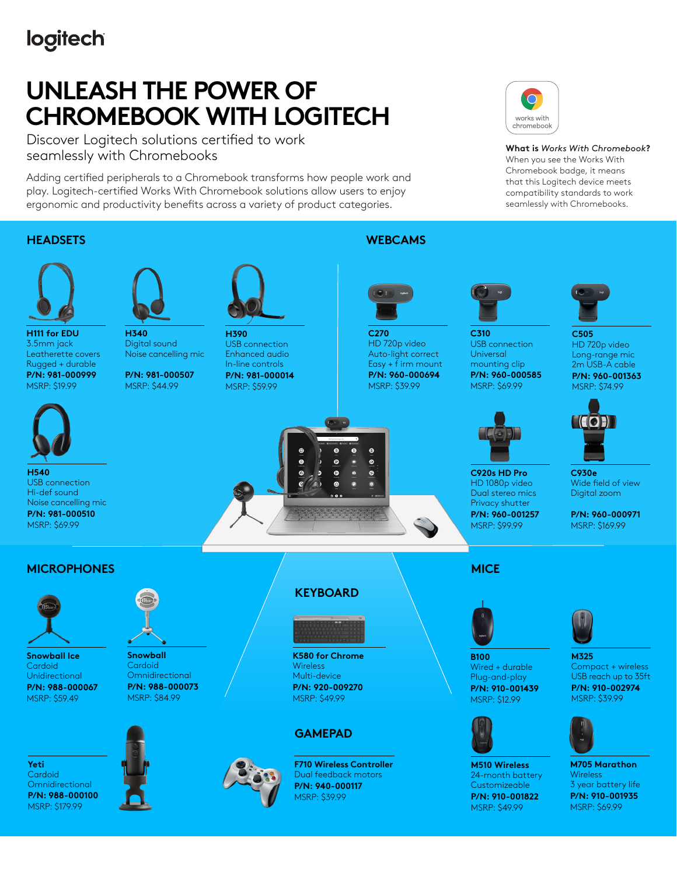## logitech

# **UNLEASH THE POWER OF CHROMEBOOK WITH LOGITECH**

Discover Logitech solutions certified to work seamlessly with Chromebooks

Adding certified peripherals to a Chromebook transforms how people work and play. Logitech-certified Works With Chromebook solutions allow users to enjoy ergonomic and productivity benefits across a variety of product categories.

## works with chromebook

**What is** *Works With Chromebook***?** When you see the Works With Chromebook badge, it means that this Logitech device meets compatibility standards to work seamlessly with Chromebooks.

#### **HEADSETS**



**H111 for EDU** 3.5mm jack Leatherette covers Rugged + durable **P/N: 981-000999**  MSRP: \$19.99



**H540** USB connection Hi-def sound Noise cancelling mic **P/N: 981-000510** MSRP: \$69.99



**H340** Digital sound Noise cancelling mic

**P/N: 981-000507** MSRP: \$44.99



**H390** USB connection Enhanced audio In-line controls **P/N: 981-000014**

MSRP: \$59.99

### **WEBCAMS**



**C270** HD 720p video Auto-light correct Easy  $+$  f irm mount **P/N: 960-000694** MSRP: \$39.99

 $\bullet$  $\bullet$ ø



**C310** USB connection **Universal** mounting clip **P/N: 960-000585** MSRP: \$69.99



**C920s HD Pro** HD 1080p video Dual stereo mics Privacy shutter **P/N: 960-001257** MSRP: \$99.99



**C505** HD 720p video Long-range mic 2m USB-A cable **P/N: 960-001363** MSRP: \$74.99



**C930e** Wide field of view Digital zoom

**P/N: 960-000971** MSRP: \$169.99

### **MICROPHONES**



**Snowball Ice Cardoid** Unidirectional **P/N: 988-000067** MSRP: \$59.49



**Snowball Cardoid Omnidirectional P/N: 988-000073** MSRP: \$84.99



**K580 for Chrome Wireless** Multi-device **P/N: 920-009270** MSRP: \$49.99

**KEYBOARD**

#### **GAMEPAD**



**F710 Wireless Controller** Dual feedback motors **P/N: 940-000117** MSRP: \$39.99

### **MICE**



Wired + durable Plug-and-play **P/N: 910-001439** MSRP: \$12.99



**M510 Wireless** 24-month battery **Customizeable P/N: 910-001822** MSRP: \$49.99



**M325** 

**M705 Marathon** Wireless 3 year battery life **P/N: 910-001935** MSRP: \$69.99

Compact + wireless USB reach up to 35ft **P/N: 910-002974** MSRP: \$39.99

**B100**



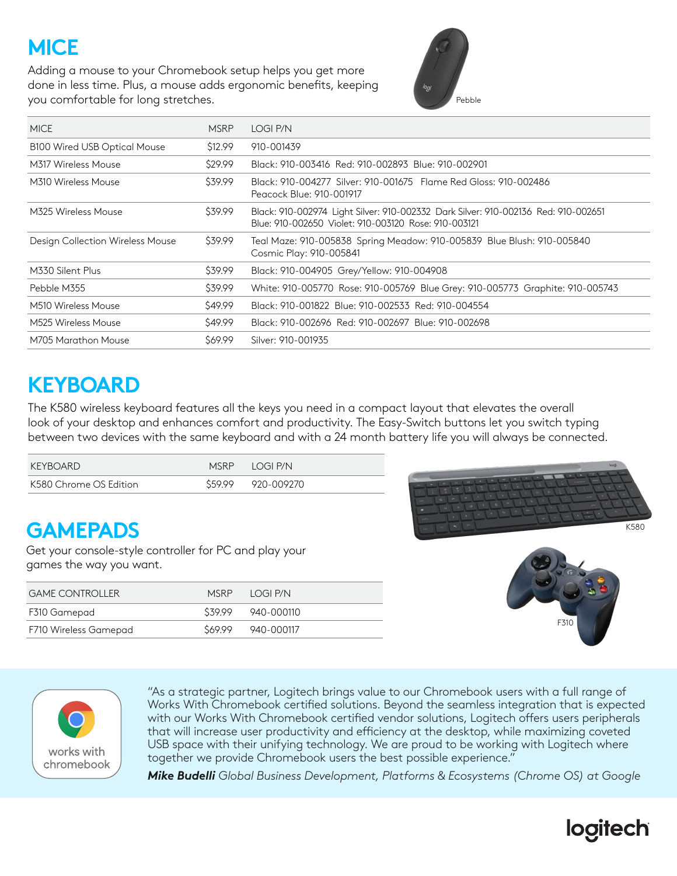# **MICE**

Adding a mouse to your Chromebook setup helps you get more done in less time. Plus, a mouse adds ergonomic benefits, keeping you comfortable for long stretches.



| <b>MICE</b>                             | <b>MSRP</b> | LOGI P/N                                                                                                                                   |
|-----------------------------------------|-------------|--------------------------------------------------------------------------------------------------------------------------------------------|
| <b>B100 Wired USB Optical Mouse</b>     | \$12.99     | 910-001439                                                                                                                                 |
| M317 Wireless Mouse                     | \$29.99     | Black: 910-003416 Red: 910-002893 Blue: 910-002901                                                                                         |
| M310 Wireless Mouse                     | \$39.99     | Black: 910-004277 Silver: 910-001675 Flame Red Gloss: 910-002486<br>Peacock Blue: 910-001917                                               |
| M325 Wireless Mouse                     | \$39.99     | Black: 910-002974 Light Silver: 910-002332 Dark Silver: 910-002136 Red: 910-002651<br>Blue: 910-002650 Violet: 910-003120 Rose: 910-003121 |
| <b>Design Collection Wireless Mouse</b> | \$39.99     | Teal Maze: 910-005838 Spring Meadow: 910-005839 Blue Blush: 910-005840<br>Cosmic Play: 910-005841                                          |
| M330 Silent Plus                        | \$39.99     | Black: 910-004905 Grey/Yellow: 910-004908                                                                                                  |
| Pebble M355                             | \$39.99     | White: 910-005770 Rose: 910-005769 Blue Grey: 910-005773 Graphite: 910-005743                                                              |
| M510 Wireless Mouse                     | \$49.99     | Black: 910-001822 Blue: 910-002533 Red: 910-004554                                                                                         |
| M525 Wireless Mouse                     | \$49.99     | Black: 910-002696 Red: 910-002697 Blue: 910-002698                                                                                         |
| M705 Marathon Mouse                     | \$69.99     | Silver: 910-001935                                                                                                                         |

## **KEYBOARD**

The K580 wireless keyboard features all the keys you need in a compact layout that elevates the overall look of your desktop and enhances comfort and productivity. The Easy-Switch buttons let you switch typing between two devices with the same keyboard and with a 24 month battery life you will always be connected.

| KEYBOARD               | MSRP LOGLP/N       |
|------------------------|--------------------|
| K580 Chrome OS Edition | \$59.99 920-009270 |

## **GAMEPADS**

Get your console-style controller for PC and play your games the way you want.

| <b>GAME CONTROLLER</b> | MSRP LOGLP/N       |
|------------------------|--------------------|
| F310 Gamepad           | S39.99 940-000110  |
| F710 Wireless Gamepad  | \$69.99 940-000117 |







"As a strategic partner, Logitech brings value to our Chromebook users with a full range of Works With Chromebook certified solutions. Beyond the seamless integration that is expected with our Works With Chromebook certified vendor solutions, Logitech offers users peripherals that will increase user productivity and efficiency at the desktop, while maximizing coveted USB space with their unifying technology. We are proud to be working with Logitech where together we provide Chromebook users the best possible experience."

*Mike Budelli Global Business Development, Platforms & Ecosystems (Chrome OS) at Google*